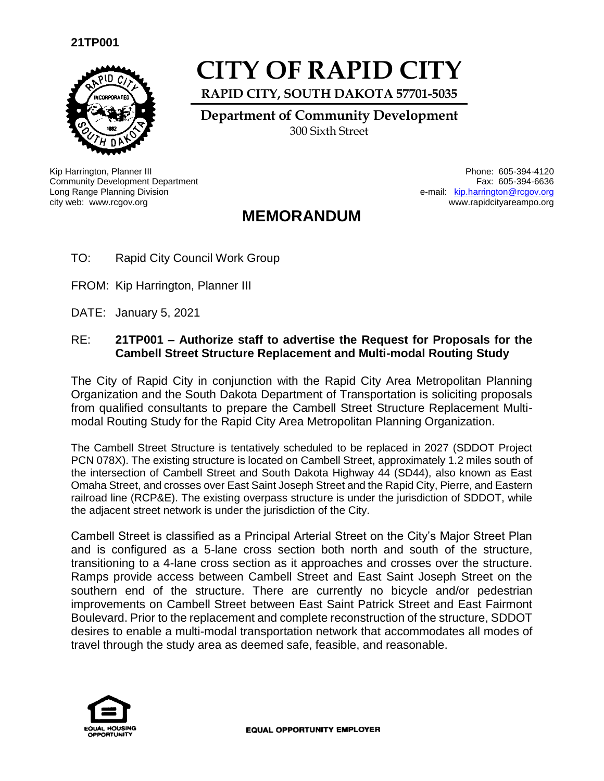

# **CITY OF RAPID CITY**

**RAPID CITY, SOUTH DAKOTA 57701-5035**

**Department of Community Development** 300 Sixth Street

Kip Harrington, Planner III Phone: 605-394-4120 Community Development Department Long Range Planning Division city web: www.rcgov.org www.rapidcityareampo.org

Fax: 605-394-6636 e-mail: [kip.harrington@rcgov.org](mailto:kip.harrington@rcgov.org)

## **MEMORANDUM**

- TO: Rapid City Council Work Group
- FROM: Kip Harrington, Planner III
- DATE: January 5, 2021

#### RE: **21TP001 – Authorize staff to advertise the Request for Proposals for the Cambell Street Structure Replacement and Multi-modal Routing Study**

The City of Rapid City in conjunction with the Rapid City Area Metropolitan Planning Organization and the South Dakota Department of Transportation is soliciting proposals from qualified consultants to prepare the Cambell Street Structure Replacement Multimodal Routing Study for the Rapid City Area Metropolitan Planning Organization.

The Cambell Street Structure is tentatively scheduled to be replaced in 2027 (SDDOT Project PCN 078X). The existing structure is located on Cambell Street, approximately 1.2 miles south of the intersection of Cambell Street and South Dakota Highway 44 (SD44), also known as East Omaha Street, and crosses over East Saint Joseph Street and the Rapid City, Pierre, and Eastern railroad line (RCP&E). The existing overpass structure is under the jurisdiction of SDDOT, while the adjacent street network is under the jurisdiction of the City.

Cambell Street is classified as a Principal Arterial Street on the City's Major Street Plan and is configured as a 5-lane cross section both north and south of the structure, transitioning to a 4-lane cross section as it approaches and crosses over the structure. Ramps provide access between Cambell Street and East Saint Joseph Street on the southern end of the structure. There are currently no bicycle and/or pedestrian improvements on Cambell Street between East Saint Patrick Street and East Fairmont Boulevard. Prior to the replacement and complete reconstruction of the structure, SDDOT desires to enable a multi-modal transportation network that accommodates all modes of travel through the study area as deemed safe, feasible, and reasonable.